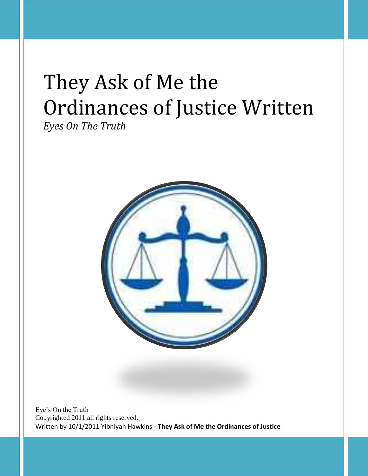# They Ask of Me the Ordinances of Justice Written

*Eyes On The Truth*



Eye's On the Truth Copyrighted 2011 all rights reserved. Written by 10/1/2011 Yibniyah Hawkins - **They Ask of Me the Ordinances of Justice**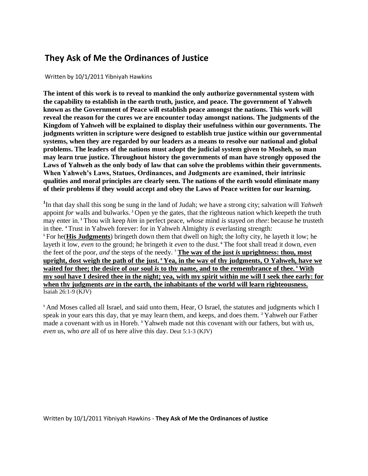## **They Ask of Me the Ordinances of Justice**

Written by 10/1/2011 Yibniyah Hawkins

**The intent of this work is to reveal to mankind the only authorize governmental system with the capability to establish in the earth truth, justice, and peace. The government of Yahweh known as the Government of Peace will establish peace amongst the nations. This work will reveal the reason for the cures we are encounter today amongst nations. The judgments of the Kingdom of Yahweh will be explained to display their usefulness within our governments. The judgments written in scripture were designed to establish true justice within our governmental systems, when they are regarded by our leaders as a means to resolve our national and global problems. The leaders of the nations must adopt the judicial system given to Mosheh, so man may learn true justice. Throughout history the governments of man have strongly opposed the Laws of Yahweh as the only body of law that can solve the problems within their governments. When Yahweh's Laws, Statues, Ordinances, and Judgments are examined, their intrinsic qualities and moral principles are clearly seen. The nations of the earth would eliminate many of their problems if they would accept and obey the Laws of Peace written for our learning.** 

**1** In that day shall this song be sung in the land of Judah; we have a strong city; salvation will *Yahweh*  appoint *for* walls and bulwarks. **<sup>2</sup>** Open ye the gates, that the righteous nation which keepeth the truth may enter in. **<sup>3</sup>** Thou wilt keep *him* in perfect peace, *whose* mind *is* stayed *on thee*: because he trusteth in thee. **<sup>4</sup>** Trust in Yahweh forever: for in Yahweh Almighty *is* everlasting strength: **<sup>5</sup>** For he(**His Judgments**) bringeth down them that dwell on high; the lofty city, he layeth it low; he layeth it low, *even* to the ground; he bringeth it *even* to the dust. **<sup>6</sup>** The foot shall tread it down, *even*  the feet of the poor, *and* the steps of the needy. **<sup>7</sup> The way of the just** *is* **uprightness: thou, most upright, dost weigh the path of the just. <sup>8</sup> Yea, in the way of thy judgments, O Yahweh, have we waited for thee; the desire of** *our* **soul** *is* **to thy name, and to the remembrance of thee. <sup>9</sup> With my soul have I desired thee in the night; yea, with my spirit within me will I seek thee early: for when thy judgments** *are* **in the earth, the inhabitants of the world will learn righteousness.** Isaiah 26:1-9 (KJV)

**<sup>1</sup>** And Moses called all Israel, and said unto them, Hear, O Israel, the statutes and judgments which I speak in your ears this day, that ye may learn them, and keeps, and does them. **<sup>2</sup>** Yahweh our Father made a covenant with us in Horeb. **<sup>3</sup>** Yahweh made not this covenant with our fathers, but with us, *even* us, who *are* all of us here alive this day. Deut 5:1-3 (KJV)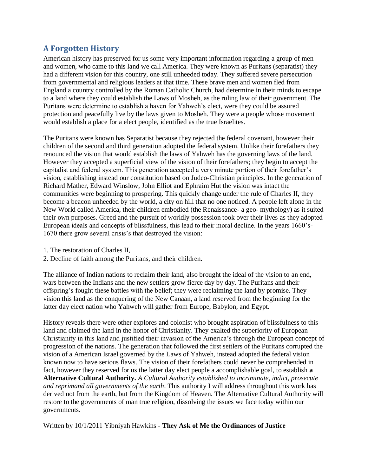## **A Forgotten History**

American history has preserved for us some very important information regarding a group of men and women, who came to this land we call America. They were known as Puritans (separatist) they had a different vision for this country, one still unheeded today. They suffered severe persecution from governmental and religious leaders at that time. These brave men and women fled from England a country controlled by the Roman Catholic Church, had determine in their minds to escape to a land where they could establish the Laws of Mosheh, as the ruling law of their government. The Puritans were determine to establish a haven for Yahweh's elect, were they could be assured protection and peacefully live by the laws given to Mosheh. They were a people whose movement would establish a place for a elect people, identified as the true Israelites.

The Puritans were known has Separatist because they rejected the federal covenant, however their children of the second and third generation adopted the federal system. Unlike their forefathers they renounced the vision that would establish the laws of Yahweh has the governing laws of the land. However they accepted a superficial view of the vision of their forefathers; they begin to accept the capitalist and federal system. This generation accepted a very minute portion of their forefather's vision, establishing instead our constitution based on Judeo-Christian principles. In the generation of Richard Mather, Edward Winslow, John Elliot and Ephraim Hut the vision was intact the communities were beginning to prospering. This quickly change under the rule of Charles II, they become a beacon unheeded by the world, a city on hill that no one noticed. A people left alone in the New World called America, their children embodied (the Renaissance- a geo- mythology) as it suited their own purposes. Greed and the pursuit of worldly possession took over their lives as they adopted European ideals and concepts of blissfulness, this lead to their moral decline. In the years 1660's-1670 there grow several crisis's that destroyed the vision:

- 1. The restoration of Charles II,
- 2. Decline of faith among the Puritans, and their children.

The alliance of Indian nations to reclaim their land, also brought the ideal of the vision to an end, wars between the Indians and the new settlers grow fierce day by day. The Puritans and their offspring's fought these battles with the belief; they were reclaiming the land by promise. They vision this land as the conquering of the New Canaan, a land reserved from the beginning for the latter day elect nation who Yahweh will gather from Europe, Babylon, and Egypt.

History reveals there were other explores and colonist who brought aspiration of blissfulness to this land and claimed the land in the honor of Christianity. They exalted the superiority of European Christianity in this land and justified their invasion of the America's through the European concept of progression of the nations. The generation that followed the first settlers of the Puritans corrupted the vision of a American Israel governed by the Laws of Yahweh, instead adopted the federal vision known now to have serious flaws. The vision of their forefathers could never be comprehended in fact, however they reserved for us the latter day elect people a accomplishable goal, to establish **a Alternative Cultural Authority.** *A Cultural Authority established to incriminate, indict, prosecute and reprimand all governments of the earth*. This authority I will address throughout this work has derived not from the earth, but from the Kingdom of Heaven. The Alternative Cultural Authority will restore to the governments of man true religion, dissolving the issues we face today within our governments.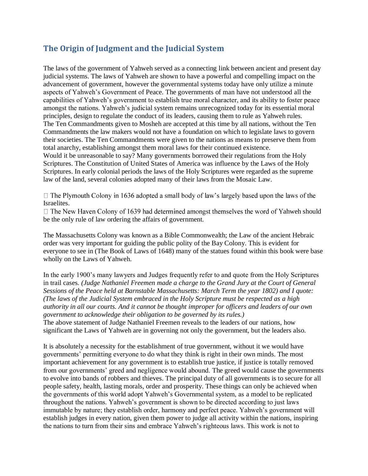## **The Origin of Judgment and the Judicial System**

The laws of the government of Yahweh served as a connecting link between ancient and present day judicial systems. The laws of Yahweh are shown to have a powerful and compelling impact on the advancement of government, however the governmental systems today have only utilize a minute aspects of Yahweh's Government of Peace. The governments of man have not understood all the capabilities of Yahweh's government to establish true moral character, and its ability to foster peace amongst the nations. Yahweh's judicial system remains unrecognized today for its essential moral principles, design to regulate the conduct of its leaders, causing them to rule as Yahweh rules. The Ten Commandments given to Mosheh are accepted at this time by all nations, without the Ten Commandments the law makers would not have a foundation on which to legislate laws to govern their societies. The Ten Commandments were given to the nations as means to preserve them from total anarchy, establishing amongst them moral laws for their continued existence. Would it be unreasonable to say? Many governments borrowed their regulations from the Holy Scriptures. The Constitution of United States of America was influence by the Laws of the Holy Scriptures. In early colonial periods the laws of the Holy Scriptures were regarded as the supreme law of the land, several colonies adopted many of their laws from the Mosaic Law.

 $\Box$  The Plymouth Colony in 1636 adopted a small body of law's largely based upon the laws of the Israelites.

 $\Box$  The New Haven Colony of 1639 had determined amongst themselves the word of Yahweh should be the only rule of law ordering the affairs of government.

The Massachusetts Colony was known as a Bible Commonwealth; the Law of the ancient Hebraic order was very important for guiding the public polity of the Bay Colony. This is evident for everyone to see in (The Book of Laws of 1648) many of the statues found within this book were base wholly on the Laws of Yahweh.

In the early 1900's many lawyers and Judges frequently refer to and quote from the Holy Scriptures in trail cases*. (Judge Nathaniel Freemen made a charge to the Grand Jury at the Court of General Sessions of the Peace held at Barnstable Massachusetts: March Term the year 1802) and I quote: (The laws of the Judicial System embraced in the Holy Scripture must be respected as a high authority in all our courts. And it cannot be thought improper for officers and leaders of our own government to acknowledge their obligation to be governed by its rules.)* 

The above statement of Judge Nathaniel Freemen reveals to the leaders of our nations, how significant the Laws of Yahweh are in governing not only the government, but the leaders also.

It is absolutely a necessity for the establishment of true government, without it we would have governments' permitting everyone to do what they think is right in their own minds. The most important achievement for any government is to establish true justice, if justice is totally removed from our governments' greed and negligence would abound. The greed would cause the governments to evolve into bands of robbers and thieves. The principal duty of all governments is to secure for all people safety, health, lasting morals, order and prosperity. These things can only be achieved when the governments of this world adopt Yahweh's Governmental system, as a model to be replicated throughout the nations. Yahweh's government is shown to be directed according to just laws immutable by nature; they establish order, harmony and perfect peace. Yahweh's government will establish judges in every nation, given them power to judge all activity within the nations, inspiring the nations to turn from their sins and embrace Yahweh's righteous laws. This work is not to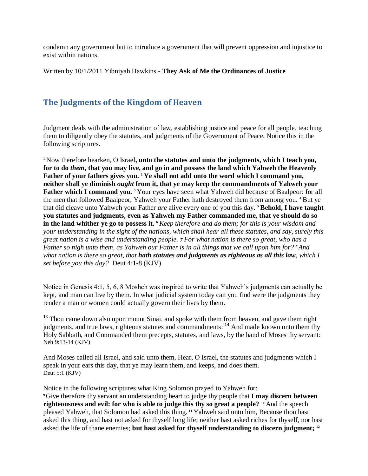condemn any government but to introduce a government that will prevent oppression and injustice to exist within nations.

Written by 10/1/2011 Yibniyah Hawkins - **They Ask of Me the Ordinances of Justice**

## **The Judgments of the Kingdom of Heaven**

Judgment deals with the administration of law, establishing justice and peace for all people, teaching them to diligently obey the statutes, and judgments of the Government of Peace. Notice this in the following scriptures.

**<sup>1</sup>** Now therefore hearken, O Israel**, unto the statutes and unto the judgments, which I teach you, for to do** *them***, that you may live, and go in and possess the land which Yahweh the Heavenly Father of your fathers gives you. <sup>2</sup> Ye shall not add unto the word which I command you, neither shall ye diminish** *ought* **from it, that ye may keep the commandments of Yahweh your Father which I command you. <sup>3</sup>** Your eyes have seen what Yahweh did because of Baalpeor: for all the men that followed Baalpeor, Yahweh your Father hath destroyed them from among you. **<sup>4</sup>** But ye that did cleave unto Yahweh your Father *are* alive every one of you this day. **<sup>5</sup> Behold, I have taught you statutes and judgments, even as Yahweh my Father commanded me, that ye should do so in the land whither ye go to possess it. <sup>6</sup>** *Keep therefore and do them; for this is your wisdom and your understanding in the sight of the nations, which shall hear all these statutes, and say, surely this great nation is a wise and understanding people. 7 For what nation is there so great, who has a Father so nigh unto them, as Yahweh our Father is in all things that we call upon him for? 8 And what nation is there so great, that hath statutes and judgments as righteous as all this law, which I set before you this day?* Deut 4:1-8 (KJV)

Notice in Genesis 4:1, 5, 6, 8 Mosheh was inspired to write that Yahweh's judgments can actually be kept, and man can live by them. In what judicial system today can you find were the judgments they render a man or women could actually govern their lives by them.

**<sup>13</sup>** Thou came down also upon mount Sinai, and spoke with them from heaven, and gave them right judgments, and true laws, righteous statutes and commandments: **<sup>14</sup>** And made known unto them thy Holy Sabbath, and Commanded them precepts, statutes, and laws, by the hand of Moses thy servant: Neh 9:13-14 (KJV)

And Moses called all Israel, and said unto them, Hear, O Israel, the statutes and judgments which I speak in your ears this day, that ye may learn them, and keeps, and does them. Deut 5:1 (KJV)

Notice in the following scriptures what King Solomon prayed to Yahweh for: **<sup>9</sup>**Give therefore thy servant an understanding heart to judge thy people that **I may discern between righteousness and evil: for who is able to judge this thy so great a people? <sup>10</sup>** And the speech pleased Yahweh, that Solomon had asked this thing. **<sup>11</sup>** Yahweh said unto him, Because thou hast asked this thing, and hast not asked for thyself long life; neither hast asked riches for thyself, nor hast asked the life of thane enemies; **but hast asked for thyself understanding to discern judgment; 12**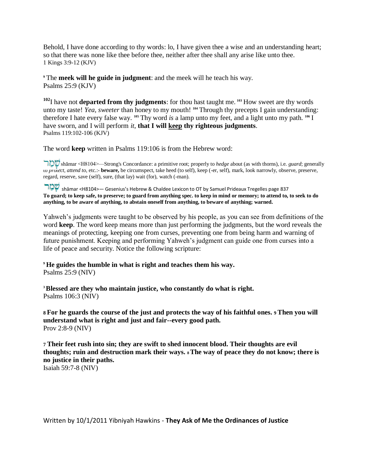Behold, I have done according to thy words: lo, I have given thee a wise and an understanding heart; so that there was none like thee before thee, neither after thee shall any arise like unto thee. 1 Kings 3:9-12 (KJV)

**<sup>9</sup>** The **meek will he guide in judgment**: and the meek will he teach his way. Psalms 25:9 (KJV)

**<sup>102</sup>**I have not **departed from thy judgments**: for thou hast taught me. **<sup>103</sup>** How sweet are thy words unto my taste! Yea, sweeter than honey to my mouth! <sup>104</sup> Through thy precepts I gain understanding: therefore I hate every false way. **<sup>105</sup>** Thy word *is* a lamp unto my feet, and a light unto my path. **<sup>106</sup>** I have sworn, and I will perform *it*, **that I will keep thy righteous judgments**. Psalms 119:102-106 (KJV)

The word **keep** written in Psalms 119:106 is from the Hebrew word:

 shāmar <H8104>—Strong's Concordance: a primitive root; properly to *hedge* about (as with thorns), i.e. *guard*; generally to *protect, attend to*, etc.:- **beware,** be circumspect, take heed (to self), keep (-er, self), mark, look narrowly, observe, preserve, regard, reserve, save (self), sure, (that lay) wait (for), watch (-man).

 shāmar <H8104>— Gesenius's Hebrew & Chaldee Lexicon to OT by Samuel Prideaux Tregelles page 837 **To guard; to keep safe, to preserve; to guard from anything spec. to keep in mind or memory; to attend to, to seek to do anything, to be aware of anything, to abstain oneself from anything, to beware of anything; warned.** 

Yahweh's judgments were taught to be observed by his people, as you can see from definitions of the word **keep**. The word keep means more than just performing the judgments, but the word reveals the meanings of protecting, keeping one from curses, preventing one from being harm and warning of future punishment. Keeping and performing Yahweh's judgment can guide one from curses into a life of peace and security. Notice the following scripture:

**<sup>9</sup> He guides the humble in what is right and teaches them his way.**  Psalms 25:9 (NIV)

**<sup>3</sup>Blessed are they who maintain justice, who constantly do what is right.**  Psalms 106:3 (NIV)

**8 For he guards the course of the just and protects the way of his faithful ones. 9 Then you will understand what is right and just and fair--every good path.**  Prov 2:8-9 (NIV)

**7 Their feet rush into sin; they are swift to shed innocent blood. Their thoughts are evil thoughts; ruin and destruction mark their ways. 8 The way of peace they do not know; there is no justice in their paths.**  Isaiah 59:7-8 (NIV)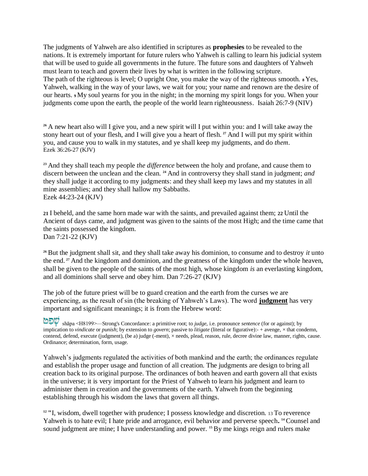The judgments of Yahweh are also identified in scriptures as **prophesies** to be revealed to the nations. It is extremely important for future rulers who Yahweh is calling to learn his judicial system that will be used to guide all governments in the future. The future sons and daughters of Yahweh must learn to teach and govern their lives by what is written in the following scripture. The path of the righteous is level; O upright One, you make the way of the righteous smooth. **8** Yes, Yahweh, walking in the way of your laws, we wait for you; your name and renown are the desire of our hearts. **9** My soul yearns for you in the night; in the morning my spirit longs for you. When your judgments come upon the earth, the people of the world learn righteousness. Isaiah 26:7-9 (NIV)

**<sup>26</sup>** A new heart also will I give you, and a new spirit will I put within you: and I will take away the stony heart out of your flesh, and I will give you a heart of flesh. **<sup>27</sup>** And I will put my spirit within you, and cause you to walk in my statutes, and ye shall keep my judgments, and do *them*. Ezek 36:26-27 (KJV)

**<sup>23</sup>** And they shall teach my people *the difference* between the holy and profane, and cause them to discern between the unclean and the clean. **<sup>24</sup>** And in controversy they shall stand in judgment; *and*  they shall judge it according to my judgments: and they shall keep my laws and my statutes in all mine assemblies; and they shall hallow my Sabbaths. Ezek 44:23-24 (KJV)

**21** I beheld, and the same horn made war with the saints, and prevailed against them; **22** Until the Ancient of days came, and judgment was given to the saints of the most High; and the time came that the saints possessed the kingdom. Dan 7:21-22 (KJV)

**<sup>26</sup>** But the judgment shall sit, and they shall take away his dominion, to consume and to destroy *it* unto the end. **<sup>27</sup>** And the kingdom and dominion, and the greatness of the kingdom under the whole heaven, shall be given to the people of the saints of the most high, whose kingdom *is* an everlasting kingdom, and all dominions shall serve and obey him. Dan 7:26-27 (KJV)

The job of the future priest will be to guard creation and the earth from the curses we are experiencing, as the result of sin (the breaking of Yahweh's Laws). The word **judgment** has very important and significant meanings; it is from the Hebrew word:

 shāpa <H8199>—Strong's Concordance: a primitive root; to *judge*, i.e. pronounce *sentence* (for or against); by implication to *vindicate* or *punish*; by extension to *govern*; passive to *litigate* (literal or figurative):- + avenge, × that condemn, contend, defend, execute (judgment), (be a) judge (-ment), × needs, plead, reason, rule, decree divine law, manner, rights, cause. Ordinance; determination, form, usage.

Yahweh's judgments regulated the activities of both mankind and the earth; the ordinances regulate and establish the proper usage and function of all creation. The judgments are design to bring all creation back to its original purpose. The ordinances of both heaven and earth govern all that exists in the universe; it is very important for the Priest of Yahweh to learn his judgment and learn to administer them in creation and the governments of the earth. Yahweh from the beginning establishing through his wisdom the laws that govern all things.

**<sup>12</sup> "**I, wisdom, dwell together with prudence; I possess knowledge and discretion. 13 To reverence Yahweh is to hate evil; I hate pride and arrogance, evil behavior and perverse speech**. <sup>14</sup>** Counsel and sound judgment are mine; I have understanding and power. <sup>15</sup> By me kings reign and rulers make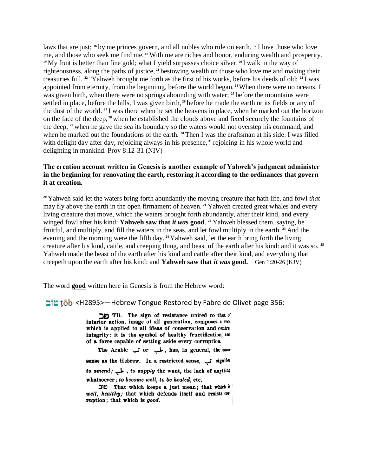laws that are just; **<sup>16</sup>** by me princes govern, and all nobles who rule on earth. **<sup>17</sup>** I love those who love me, and those who seek me find me. **<sup>18</sup>** With me are riches and honor, enduring wealth and prosperity. <sup>19</sup> My fruit is better than fine gold; what I yield surpasses choice silver.<sup>20</sup>I walk in the way of righteousness, along the paths of justice, **<sup>21</sup>** bestowing wealth on those who love me and making their treasuries full. **<sup>22</sup>** "Yahweh brought me forth as the first of his works, before his deeds of old; **<sup>23</sup>** I was appointed from eternity, from the beginning, before the world began. **<sup>24</sup>**When there were no oceans, I was given birth, when there were no springs abounding with water; **<sup>25</sup>** before the mountains were settled in place, before the hills, I was given birth, **<sup>26</sup>** before he made the earth or its fields or any of the dust of the world. **<sup>27</sup>** I was there when he set the heavens in place, when he marked out the horizon on the face of the deep, **<sup>28</sup>** when he established the clouds above and fixed securely the fountains of the deep, **<sup>29</sup>** when he gave the sea its boundary so the waters would not overstep his command, and when he marked out the foundations of the earth. **<sup>30</sup>** Then I was the craftsman at his side. I was filled with delight day after day, rejoicing always in his presence, **<sup>31</sup>** rejoicing in his whole world and delighting in mankind. Prov 8:12-31 (NIV)

#### **The creation account written in Genesis is another example of Yahweh's judgment administer in the beginning for renovating the earth, restoring it according to the ordinances that govern it at creation.**

**<sup>20</sup>** Yahweh said let the waters bring forth abundantly the moving creature that hath life, and fowl *that*  may fly above the earth in the open firmament of heaven. **<sup>21</sup>** Yahweh created great whales and every living creature that move, which the waters brought forth abundantly, after their kind, and every winged fowl after his kind: **Yahweh saw that** *it was* **good**. **<sup>22</sup>** Yahweh blessed them, saying, be fruitful, and multiply, and fill the waters in the seas, and let fowl multiply in the earth. **<sup>23</sup>** And the evening and the morning were the fifth day. **<sup>24</sup>**Yahweh said, let the earth bring forth the living creature after his kind, cattle, and creeping thing, and beast of the earth after his kind: and it was so. **<sup>25</sup>** Yahweh made the beast of the earth after his kind and cattle after their kind, and everything that creepeth upon the earth after his kind: and **Yahweh saw that** *it was* **good.** Gen 1:20-26 (KJV)

The word **good** written here in Genesis is from the Hebrew word:

b <H2895>—Hebrew Tongue Restored by Fabre de Olivet page 356:

TB. The sign of resistance united to that of interior action, image of all generation, composes a root which is applied to all ideas of conservation and central integrity: it is the symbol of healthy fructification, and of a force capable of setting aside every corruption.

The Arabic شب or ملب , has, in general, the same sense as the Hebrew. In a restricted sense, i signifies to amend; لمب, to supply the want, the lack of anything whatsoever; to become well, to be healed, etc.

יוב That which keeps a just mean; that which is well, healthy; that which defends itself and resists corruption; that which is good.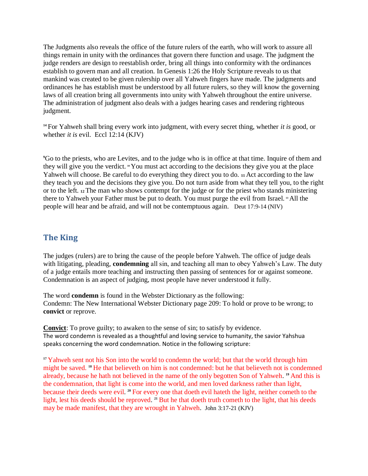The Judgments also reveals the office of the future rulers of the earth, who will work to assure all things remain in unity with the ordinances that govern there function and usage. The judgment the judge renders are design to reestablish order, bring all things into conformity with the ordinances establish to govern man and all creation. In Genesis 1:26 the Holy Scripture reveals to us that mankind was created to be given rulership over all Yahweh fingers have made. The judgments and ordinances he has establish must be understood by all future rulers, so they will know the governing laws of all creation bring all governments into unity with Yahweh throughout the entire universe. The administration of judgment also deals with a judges hearing cases and rendering righteous judgment.

**<sup>14</sup>** For Yahweh shall bring every work into judgment, with every secret thing, whether *it is* good, or whether *it is* evil. Eccl 12:14 (KJV)

**<sup>9</sup>**Go to the priests, who are Levites, and to the judge who is in office at that time. Inquire of them and they will give you the verdict. **<sup>10</sup>** You must act according to the decisions they give you at the place Yahweh will choose. Be careful to do everything they direct you to do. **<sup>11</sup>** Act according to the law they teach you and the decisions they give you. Do not turn aside from what they tell you, to the right or to the left. **<sup>12</sup>** The man who shows contempt for the judge or for the priest who stands ministering there to Yahweh your Father must be put to death. You must purge the evil from Israel. **<sup>13</sup>** All the people will hear and be afraid, and will not be contemptuous again. Deut 17:9-14 (NIV)

## **The King**

The judges (rulers) are to bring the cause of the people before Yahweh. The office of judge deals with litigating, pleading, **condemning** all sin, and teaching all man to obey Yahweh's Law. The duty of a judge entails more teaching and instructing then passing of sentences for or against someone. Condemnation is an aspect of judging, most people have never understood it fully.

The word **condemn** is found in the Webster Dictionary as the following: Condemn: The New International Webster Dictionary page 209: To hold or prove to be wrong; to **convict** or reprove.

**Convict:** To prove guilty; to awaken to the sense of sin; to satisfy by evidence. The word condemn is revealed as a thoughtful and loving service to humanity, the savior Yahshua speaks concerning the word condemnation. Notice in the following scripture:

<sup>17</sup> Yahweh sent not his Son into the world to condemn the world; but that the world through him might be saved. <sup>18</sup> He that believeth on him is not condemned: but he that believeth not is condemned already, because he hath not believed in the name of the only begotten Son of Yahweh. **<sup>19</sup>** And this is the condemnation, that light is come into the world, and men loved darkness rather than light, because their deeds were evil. **<sup>20</sup>** For every one that doeth evil hateth the light, neither cometh to the light, lest his deeds should be reproved. <sup>21</sup> But he that doeth truth cometh to the light, that his deeds may be made manifest, that they are wrought in Yahweh. John 3:17-21 (KJV)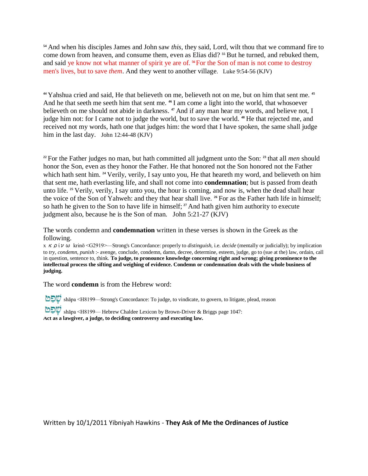**<sup>54</sup>** And when his disciples James and John saw *this*, they said, Lord, wilt thou that we command fire to come down from heaven, and consume them, even as Elias did? **<sup>55</sup>** But he turned, and rebuked them, and said ye know not what manner of spirit ye are of. **<sup>56</sup>**For the Son of man is not come to destroy men's lives, but to save *them*. And they went to another village. Luke 9:54-56 (KJV)

**<sup>44</sup>** Yahshua cried and said, He that believeth on me, believeth not on me, but on him that sent me. **<sup>45</sup>** And he that seeth me seeth him that sent me. **<sup>46</sup>** I am come a light into the world, that whosoever believeth on me should not abide in darkness. **<sup>47</sup>** And if any man hear my words, and believe not, I judge him not: for I came not to judge the world, but to save the world. <sup>48</sup> He that rejected me, and received not my words, hath one that judges him: the word that I have spoken, the same shall judge him in the last day. John 12:44-48 (KJV)

**<sup>22</sup>** For the Father judges no man, but hath committed all judgment unto the Son: **<sup>23</sup>** that all *men* should honor the Son, even as they honor the Father. He that honored not the Son honored not the Father which hath sent him. <sup>24</sup> Verily, verily, I say unto you, He that heareth my word, and believeth on him that sent me, hath everlasting life, and shall not come into **condemnation**; but is passed from death unto life. **<sup>25</sup>** Verily, verily, I say unto you, the hour is coming, and now is, when the dead shall hear the voice of the Son of Yahweh: and they that hear shall live. **<sup>26</sup>** For as the Father hath life in himself; so hath he given to the Son to have life in himself; **<sup>27</sup>** And hath given him authority to execute judgment also, because he is the Son of man. John 5:21-27 (KJV)

The words condemn and **condemnation** written in these verses is shown in the Greek as the following.

x κρίνω krinō <G2919>—Strong's Concordance: properly to *distinguish*, i.e. *decide* (mentally or judicially); by implication to *try, condemn, punish* :- avenge, conclude, condemn, damn, decree, determine, esteem, judge, go to (sue at the) law, ordain, call in question, sentence to, think. **To judge, to pronounce knowledge concerning right and wrong; giving prominence to the intellectual process the sifting and weighing of evidence. Condemn or condemnation deals with the whole business of judging.** 

The word **condemn** is from the Hebrew word:

**O⊃**W shāpa <H8199—Strong's Concordance: To judge, to vindicate, to govern, to litigate, plead, reason

Shāpa <H8199— Hebrew Chaldee Lexicon by Brown-Driver & Briggs page 1047: **Act as a lawgiver, a judge, to deciding controversy and executing law.**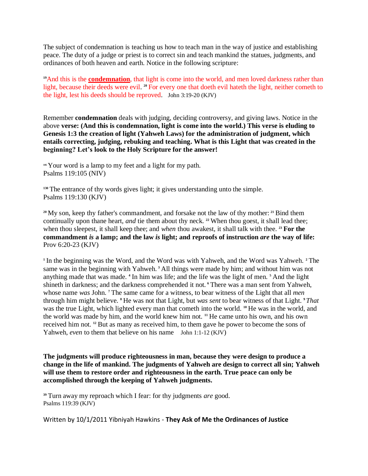The subject of condemnation is teaching us how to teach man in the way of justice and establishing peace. The duty of a judge or priest is to correct sin and teach mankind the statues, judgments, and ordinances of both heaven and earth. Notice in the following scripture:

<sup>19</sup>And this is the **condemnation**, that light is come into the world, and men loved darkness rather than light, because their deeds were evil. **<sup>20</sup>** For every one that doeth evil hateth the light, neither cometh to the light, lest his deeds should be reproved. John 3:19-20 (KJV)

Remember **condemnation** deals with judging, deciding controversy, and giving laws. Notice in the above **verse: (And this is condemnation, light is come into the world.) This verse is eluding to Genesis 1:3 the creation of light (Yahweh Laws) for the administration of judgment, which entails correcting, judging, rebuking and teaching. What is this Light that was created in the beginning? Let's look to the Holy Scripture for the answer!** 

**<sup>105</sup>**Your word is a lamp to my feet and a light for my path. Psalms 119:105 (NIV)

**<sup>130</sup>** The entrance of thy words gives light; it gives understanding unto the simple. Psalms 119:130 (KJV)

**<sup>20</sup>** My son, keep thy father's commandment, and forsake not the law of thy mother: **<sup>21</sup>** Bind them continually upon thane heart, *and* tie them about thy neck. **<sup>22</sup>** When thou goest, it shall lead thee; when thou sleepest, it shall keep thee; and *when* thou awakest, it shall talk with thee. **<sup>23</sup> For the commandment** *is* **a lamp; and the law** *is* **light; and reproofs of instruction** *are* **the way of life:**  Prov 6:20-23 (KJV)

**1** In the beginning was the Word, and the Word was with Yahweh, and the Word was Yahweh. **<sup>2</sup>** The same was in the beginning with Yahweh. **<sup>3</sup>** All things were made by him; and without him was not anything made that was made. **<sup>4</sup>** In him was life; and the life was the light of men. **<sup>5</sup>** And the light shineth in darkness; and the darkness comprehended it not. **<sup>6</sup>** There was a man sent from Yahweh, whose name *was* John. **<sup>7</sup>** The same came for a witness, to bear witness of the Light that all *men*  through him might believe. **<sup>8</sup>** He was not that Light, but *was sent* to bear witness of that Light. **9** *That*  was the true Light, which lighted every man that cometh into the world. **<sup>10</sup>** He was in the world, and the world was made by him, and the world knew him not. **<sup>11</sup>** He came unto his own, and his own received him not. **<sup>12</sup>** But as many as received him, to them gave he power to become the sons of Yahweh, *even* to them that believe on his name John 1:1-12 (KJV)

**The judgments will produce righteousness in man, because they were design to produce a change in the life of mankind. The judgments of Yahweh are design to correct all sin; Yahweh will use them to restore order and righteousness in the earth. True peace can only be accomplished through the keeping of Yahweh judgments.** 

**<sup>39</sup>** Turn away my reproach which I fear: for thy judgments *are* good. Psalms 119:39 (KJV)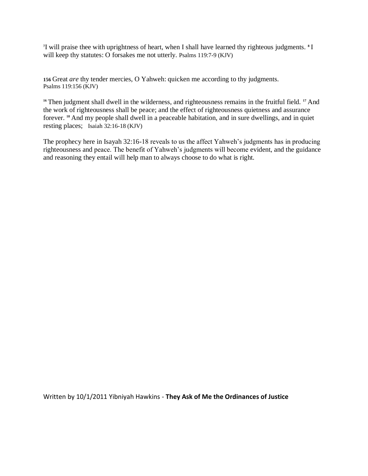**7** I will praise thee with uprightness of heart, when I shall have learned thy righteous judgments. **<sup>8</sup>** I will keep thy statutes: O forsakes me not utterly. Psalms 119:7-9 (KJV)

**156** Great *are* thy tender mercies, O Yahweh: quicken me according to thy judgments. Psalms 119:156 (KJV)

<sup>16</sup> Then judgment shall dwell in the wilderness, and righteousness remains in the fruitful field. <sup>17</sup> And the work of righteousness shall be peace; and the effect of righteousness quietness and assurance forever. **<sup>18</sup>** And my people shall dwell in a peaceable habitation, and in sure dwellings, and in quiet resting places; Isaiah 32:16-18 (KJV)

The prophecy here in Isayah 32:16-18 reveals to us the affect Yahweh's judgments has in producing righteousness and peace. The benefit of Yahweh's judgments will become evident, and the guidance and reasoning they entail will help man to always choose to do what is right.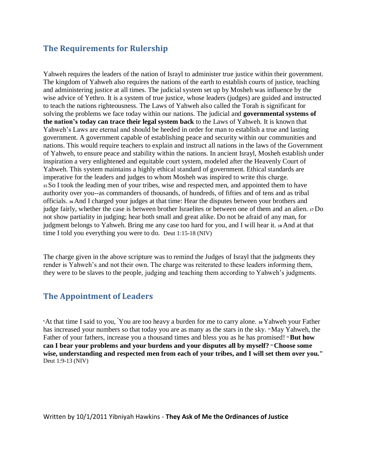## **The Requirements for Rulership**

Yahweh requires the leaders of the nation of Israyl to administer true justice within their government. The kingdom of Yahweh also requires the nations of the earth to establish courts of justice, teaching and administering justice at all times. The judicial system set up by Mosheh was influence by the wise advice of Yethro. It is a system of true justice, whose leaders (judges) are guided and instructed to teach the nations righteousness. The Laws of Yahweh also called the Torah is significant for solving the problems we face today within our nations. The judicial and **governmental systems of the nation's today can trace their legal system back** to the Laws of Yahweh. It is known that Yahweh's Laws are eternal and should be heeded in order for man to establish a true and lasting government. A government capable of establishing peace and security within our communities and nations. This would require teachers to explain and instruct all nations in the laws of the Government of Yahweh, to ensure peace and stability within the nations. In ancient Israyl, Mosheh establish under inspiration a very enlightened and equitable court system, modeled after the Heavenly Court of Yahweh. This system maintains a highly ethical standard of government. Ethical standards are imperative for the leaders and judges to whom Mosheh was inspired to write this charge. **<sup>15</sup>**So I took the leading men of your tribes, wise and respected men, and appointed them to have authority over you--as commanders of thousands, of hundreds, of fifties and of tens and as tribal officials. **16** And I charged your judges at that time: Hear the disputes between your brothers and judge fairly, whether the case is between brother Israelites or between one of them and an alien. **17** Do not show partiality in judging; hear both small and great alike. Do not be afraid of any man, for judgment belongs to Yahweh. Bring me any case too hard for you, and I will hear it. **18** And at that time I told you everything you were to do. Deut 1:15-18 (NIV)

The charge given in the above scripture was to remind the Judges of Israyl that the judgments they render is Yahweh's and not their own. The charge was reiterated to these leaders informing them, they were to be slaves to the people, judging and teaching them according to Yahweh's judgments.

## **The Appointment of Leaders**

**<sup>9</sup>**At that time I said to you, "You are too heavy a burden for me to carry alone. **10** Yahweh your Father has increased your numbers so that today you are as many as the stars in the sky. **"May Yahweh**, the Father of your fathers, increase you a thousand times and bless you as he has promised! <sup>12</sup>**But how can I bear your problems and your burdens and your disputes all by myself? <sup>13</sup> Choose some wise, understanding and respected men from each of your tribes, and I will set them over you."**  Deut 1:9-13 (NIV)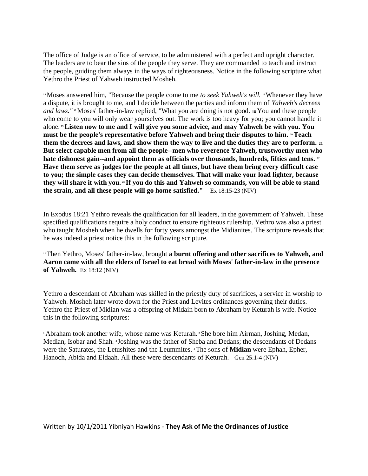The office of Judge is an office of service, to be administered with a perfect and upright character. The leaders are to bear the sins of the people they serve. They are commanded to teach and instruct the people, guiding them always in the ways of righteousness. Notice in the following scripture what Yethro the Priest of Yahweh instructed Mosheh.

**<sup>15</sup>**Moses answered him, "Because the people come to me *to seek Yahweh's will.* **16** Whenever they have a dispute, it is brought to me, and I decide between the parties and inform them of *Yahweh's decrees and laws."* **<sup>17</sup>** Moses' father-in-law replied, "What you are doing is not good. **18** You and these people who come to you will only wear yourselves out. The work is too heavy for you; you cannot handle it alone. **<sup>19</sup>Listen now to me and I will give you some advice, and may Yahweh be with you. You must be the people's representative before Yahweh and bring their disputes to him. » Teach**  $\blacksquare$ **them the decrees and laws, and show them the way to live and the duties they are to perform. <sup>21</sup> But select capable men from all the people--men who reverence Yahweh, trustworthy men who**  hate dishonest gain--and appoint them as officials over thousands, hundreds, fifties and tens. <sup>22</sup> **Have them serve as judges for the people at all times, but have them bring every difficult case to you; the simple cases they can decide themselves. That will make your load lighter, because they will share it with you. <sup>23</sup> If you do this and Yahweh so commands, you will be able to stand the strain, and all these people will go home satisfied."** Ex 18:15-23 (NIV)

In Exodus 18:21 Yethro reveals the qualification for all leaders, in the government of Yahweh. These specified qualifications require a holy conduct to ensure righteous rulership. Yethro was also a priest who taught Mosheh when he dwells for forty years amongst the Midianites. The scripture reveals that he was indeed a priest notice this in the following scripture.

<sup>12</sup> Then Yethro, Moses' father-in-law, brought **a burnt offering and other sacrifices to Yahweh, and Aaron came with all the elders of Israel to eat bread with Moses' father-in-law in the presence of Yahweh.** Ex 18:12 (NIV)

Yethro a descendant of Abraham was skilled in the priestly duty of sacrifices, a service in worship to Yahweh. Mosheh later wrote down for the Priest and Levites ordinances governing their duties. Yethro the Priest of Midian was a offspring of Midain born to Abraham by Keturah is wife. Notice this in the following scriptures:

**<sup>1</sup>** Abraham took another wife, whose name was Keturah. **<sup>2</sup>** She bore him Airman, Joshing, Medan, Median, Isobar and Shah. **3** Joshing was the father of Sheba and Dedans; the descendants of Dedans were the Saturates, the Letushites and the Leummites. **<sup>4</sup>** The sons of **Midian** were Ephah, Epher, Hanoch, Abida and Eldaah. All these were descendants of Keturah. Gen 25:1-4 (NIV)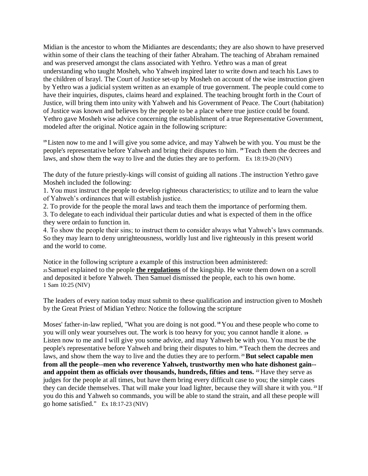Midian is the ancestor to whom the Midiantes are descendants; they are also shown to have preserved within some of their clans the teaching of their father Abraham. The teaching of Abraham remained and was preserved amongst the clans associated with Yethro. Yethro was a man of great understanding who taught Mosheh, who Yahweh inspired later to write down and teach his Laws to the children of Israyl. The Court of Justice set-up by Mosheh on account of the wise instruction given by Yethro was a judicial system written as an example of true government. The people could come to have their inquiries, disputes, claims heard and explained. The teaching brought forth in the Court of Justice, will bring them into unity with Yahweh and his Government of Peace. The Court (habitation) of Justice was known and believes by the people to be a place where true justice could be found. Yethro gave Mosheh wise advice concerning the establishment of a true Representative Government, modeled after the original. Notice again in the following scripture:

**<sup>19</sup>** Listen now to me and I will give you some advice, and may Yahweh be with you. You must be the people's representative before Yahweh and bring their disputes to him. **<sup>20</sup>** Teach them the decrees and laws, and show them the way to live and the duties they are to perform. Ex 18:19-20 (NIV)

The duty of the future priestly-kings will consist of guiding all nations .The instruction Yethro gave Mosheh included the following:

1. You must instruct the people to develop righteous characteristics; to utilize and to learn the value of Yahweh's ordinances that will establish justice.

2. To provide for the people the moral laws and teach them the importance of performing them.

3. To delegate to each individual their particular duties and what is expected of them in the office they were ordain to function in.

4. To show the people their sins; to instruct them to consider always what Yahweh's laws commands. So they may learn to deny unrighteousness, worldly lust and live righteously in this present world and the world to come.

Notice in the following scripture a example of this instruction been administered: **<sup>25</sup>**Samuel explained to the people **the regulations** of the kingship. He wrote them down on a scroll and deposited it before Yahweh. Then Samuel dismissed the people, each to his own home. 1 Sam 10:25 (NIV)

The leaders of every nation today must submit to these qualification and instruction given to Mosheh by the Great Priest of Midian Yethro: Notice the following the scripture

Moses' father-in-law replied, "What you are doing is not good. **<sup>18</sup>** You and these people who come to you will only wear yourselves out. The work is too heavy for you; you cannot handle it alone. **<sup>19</sup>** Listen now to me and I will give you some advice, and may Yahweh be with you. You must be the people's representative before Yahweh and bring their disputes to him. **<sup>20</sup>** Teach them the decrees and laws, and show them the way to live and the duties they are to perform.<sup>21</sup> But select capable men **from all the people--men who reverence Yahweh, trustworthy men who hate dishonest gain- and appoint them as officials over thousands, hundreds, fifties and tens.** <sup>22</sup> Have they serve as judges for the people at all times, but have them bring every difficult case to you; the simple cases they can decide themselves. That will make your load lighter, because they will share it with you. **<sup>23</sup>** If you do this and Yahweh so commands, you will be able to stand the strain, and all these people will go home satisfied." Ex 18:17-23 (NIV)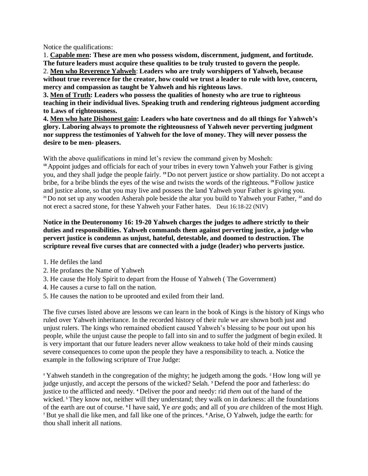Notice the qualifications:

1. **Capable men: These are men who possess wisdom, discernment, judgment, and fortitude. The future leaders must acquire these qualities to be truly trusted to govern the people.**  2. **Men who Reverence Yahweh**: **Leaders who are truly worshippers of Yahweh, because without true reverence for the creator, how could we trust a leader to rule with love, concern, mercy and compassion as taught be Yahweh and his righteous laws**.

**3. Men of Truth: Leaders who possess the qualities of honesty who are true to righteous teaching in their individual lives. Speaking truth and rendering righteous judgment according to Laws of righteousness.** 

**4. Men who hate Dishonest gain: Leaders who hate covertness and do all things for Yahweh's glory. Laboring always to promote the righteousness of Yahweh never perverting judgment nor suppress the testimonies of Yahweh for the love of money. They will never possess the desire to be men- pleasers.** 

With the above qualifications in mind let's review the command given by Mosheh:

<sup>18</sup> Appoint judges and officials for each of your tribes in every town Yahweh your Father is giving you, and they shall judge the people fairly. **19** Do not pervert justice or show partiality. Do not accept a bribe, for a bribe blinds the eyes of the wise and twists the words of the righteous. **<sup>20</sup>**Follow justice and justice alone, so that you may live and possess the land Yahweh your Father is giving you. **<sup>21</sup>**Do not set up any wooden Asherah pole beside the altar you build to Yahweh your Father, **<sup>22</sup>** and do not erect a sacred stone, for these Yahweh your Father hates. Deut 16:18-22 (NIV)

**Notice in the Deuteronomy 16: 19-20 Yahweh charges the judges to adhere strictly to their duties and responsibilities. Yahweh commands them against perverting justice, a judge who pervert justice is condemn as unjust, hateful, detestable, and doomed to destruction. The scripture reveal five curses that are connected with a judge (leader) who perverts justice.** 

- 1. He defiles the land
- 2. He profanes the Name of Yahweh
- 3. He cause the Holy Spirit to depart from the House of Yahweh ( The Government)
- 4. He causes a curse to fall on the nation.
- 5. He causes the nation to be uprooted and exiled from their land.

The five curses listed above are lessons we can learn in the book of Kings is the history of Kings who ruled over Yahweh inheritance. In the recorded history of their rule we are shown both just and unjust rulers. The kings who remained obedient caused Yahweh's blessing to be pour out upon his people, while the unjust cause the people to fall into sin and to suffer the judgment of begin exiled. It is very important that our future leaders never allow weakness to take hold of their minds causing severe consequences to come upon the people they have a responsibility to teach. a. Notice the example in the following scripture of True Judge:

**<sup>1</sup>** Yahweh standeth in the congregation of the mighty; he judgeth among the gods. **<sup>2</sup>** How long will ye judge unjustly, and accept the persons of the wicked? Selah. **<sup>3</sup>** Defend the poor and fatherless: do justice to the afflicted and needy. **<sup>4</sup>** Deliver the poor and needy: rid *them* out of the hand of the wicked. <sup>5</sup> They know not, neither will they understand; they walk on in darkness: all the foundations of the earth are out of course. **6** I have said, Ye *are* gods; and all of you *are* children of the most High. **<sup>7</sup>** But ye shall die like men, and fall like one of the princes. **8** Arise, O Yahweh, judge the earth: for thou shall inherit all nations.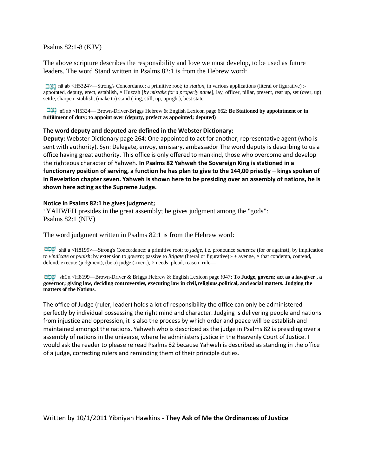Psalms 82:1-8 (KJV)

The above scripture describes the responsibility and love we must develop, to be used as future leaders. The word Stand written in Psalms 82:1 is from the Hebrew word:

 nā ab <H5324>—Strong's Concordance: a primitive root; to *station*, in various applications (literal or figurative) : appointed, deputy, erect, establish, × Huzzah [*by mistake for a properly name*], lay, officer, pillar, present, rear up, set (over, up) settle, sharpen, stablish, (make to) stand (-ing, still, up, upright), best state.

 nā ab <H5324— Brown-Driver-Briggs Hebrew & English Lexicon page 662: **Be Stationed by appointment or in fulfillment of duty; to appoint over (deputy, prefect as appointed; deputed)** 

#### **The word deputy and deputed are defined in the Webster Dictionary:**

**Deputy:** Webster Dictionary page 264: One appointed to act for another; representative agent (who is sent with authority). Syn: Delegate, envoy, emissary, ambassador The word deputy is describing to us a office having great authority. This office is only offered to mankind, those who overcome and develop the righteous character of Yahweh. **In Psalms 82 Yahweh the Sovereign King is stationed in a functionary position of serving, a function he has plan to give to the 144,00 priestly – kings spoken of in Revelation chapter seven. Yahweh is shown here to be presiding over an assembly of nations, he is shown here acting as the Supreme Judge.** 

#### **Notice in Psalms 82:1 he gives judgment;**

**<sup>1</sup>** YAHWEH presides in the great assembly; he gives judgment among the "gods": Psalms 82:1 (NIV)

The word judgment written in Psalms 82:1 is from the Hebrew word:

 shā a <H8199>—Strong's Concordance: a primitive root; to *judge*, i.e. pronounce *sentence* (for or against); by implication to *vindicate* or *punish*; by extension to *govern*; passive to *litigate* (literal or figurative):- + avenge, × that condemn, contend, defend, execute (judgment), (be a) judge (-ment),  $\times$  needs, plead, reason, rule—

 shā a <H8199—Brown-Driver & Briggs Hebrew & English Lexicon page !047: **To Judge, govern; act as a lawgiver , a governor; giving law, deciding controversies, executing law in civil,religious,political, and social matters. Judging the matters of the Nations.** 

The office of Judge (ruler, leader) holds a lot of responsibility the office can only be administered perfectly by individual possessing the right mind and character. Judging is delivering people and nations from injustice and oppression, it is also the process by which order and peace will be establish and maintained amongst the nations. Yahweh who is described as the judge in Psalms 82 is presiding over a assembly of nations in the universe, where he administers justice in the Heavenly Court of Justice. I would ask the reader to please re read Psalms 82 because Yahweh is described as standing in the office of a judge, correcting rulers and reminding them of their principle duties.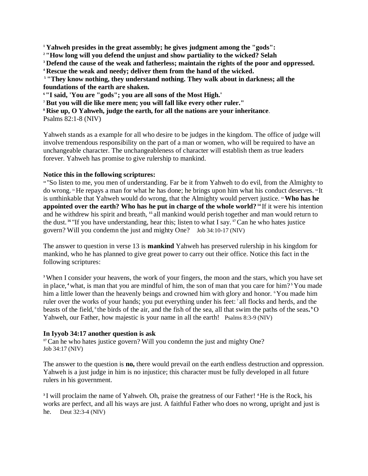**<sup>1</sup> Yahweh presides in the great assembly; he gives judgment among the "gods":**

**<sup>2</sup>"How long will you defend the unjust and show partiality to the wicked? Selah** 

**<sup>3</sup> Defend the cause of the weak and fatherless; maintain the rights of the poor and oppressed.** 

**<sup>4</sup> Rescue the weak and needy; deliver them from the hand of the wicked.**

**<sup>5</sup> "They know nothing, they understand nothing. They walk about in darkness; all the foundations of the earth are shaken.** 

**<sup>6</sup>"I said, 'You are "gods"; you are all sons of the Most High.'** 

**<sup>7</sup> But you will die like mere men; you will fall like every other ruler."** 

**<sup>8</sup> Rise up, O Yahweh, judge the earth, for all the nations are your inheritance**.

Psalms 82:1-8 (NIV)

Yahweh stands as a example for all who desire to be judges in the kingdom. The office of judge will involve tremendous responsibility on the part of a man or women, who will be required to have an unchangeable character. The unchangeableness of character will establish them as true leaders forever. Yahweh has promise to give rulership to mankind.

### **Notice this in the following scriptures:**

<sup>10</sup> "So listen to me, you men of understanding. Far be it from Yahweh to do evil, from the Almighty to do wrong. **<sup>11</sup>** He repays a man for what he has done; he brings upon him what his conduct deserves. **<sup>12</sup>**It is unthinkable that Yahweh would do wrong, that the Almighty would pervert justice. **<sup>13</sup>Who has he appointed over the earth? Who has he put in charge of the whole world? <sup>14</sup>** If it were his intention and he withdrew his spirit and breath, **<sup>15</sup>** all mankind would perish together and man would return to the dust. **<sup>16</sup>** "If you have understanding, hear this; listen to what I say. **<sup>17</sup>**Can he who hates justice govern? Will you condemn the just and mighty One? Job 34:10-17 (NIV)

The answer to question in verse 13 is **mankind** Yahweh has preserved rulership in his kingdom for mankind, who he has planned to give great power to carry out their office. Notice this fact in the following scriptures:

**<sup>3</sup>**When I consider your heavens, the work of your fingers, the moon and the stars, which you have set in place, **<sup>4</sup>** what, is man that you are mindful of him, the son of man that you care for him? **<sup>5</sup>** You made him a little lower than the heavenly beings and crowned him with glory and honor. <sup>6</sup>You made him ruler over the works of your hands; you put everything under his feet:<sup>7</sup> all flocks and herds, and the beasts of the field, <sup>8</sup> the birds of the air, and the fish of the sea, all that swim the paths of the seas. <sup>9</sup>O Yahweh, our Father, how majestic is your name in all the earth! Psalms 8:3-9 (NIV)

#### **In Iyyob 34:17 another question is ask**

<sup>17</sup>Can he who hates justice govern? Will you condemn the just and mighty One? Job 34:17 (NIV)

The answer to the question is **no,** there would prevail on the earth endless destruction and oppression. Yahweh is a just judge in him is no injustice; this character must be fully developed in all future rulers in his government.

**3** I will proclaim the name of Yahweh. Oh, praise the greatness of our Father! **<sup>4</sup>** He is the Rock, his works are perfect, and all his ways are just. A faithful Father who does no wrong, upright and just is he. Deut 32:3-4 (NIV)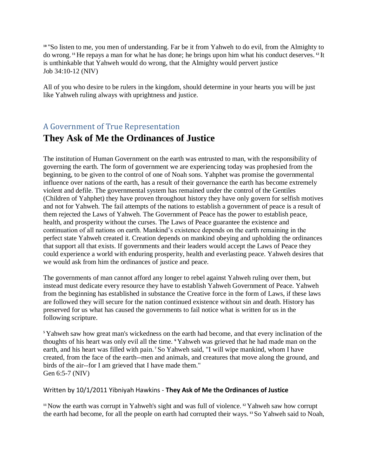**<sup>10</sup>** "So listen to me, you men of understanding. Far be it from Yahweh to do evil, from the Almighty to do wrong. **<sup>11</sup>** He repays a man for what he has done; he brings upon him what his conduct deserves. **<sup>12</sup>** It is unthinkable that Yahweh would do wrong, that the Almighty would pervert justice Job 34:10-12 (NIV)

All of you who desire to be rulers in the kingdom, should determine in your hearts you will be just like Yahweh ruling always with uprightness and justice.

# A Government of True Representation **They Ask of Me the Ordinances of Justice**

The institution of Human Government on the earth was entrusted to man, with the responsibility of governing the earth. The form of government we are experiencing today was prophesied from the beginning, to be given to the control of one of Noah sons. Yahphet was promise the governmental influence over nations of the earth, has a result of their governance the earth has become extremely violent and defile. The governmental system has remained under the control of the Gentiles (Children of Yahphet) they have proven throughout history they have only govern for selfish motives and not for Yahweh. The fail attempts of the nations to establish a government of peace is a result of them rejected the Laws of Yahweh. The Government of Peace has the power to establish peace, health, and prosperity without the curses. The Laws of Peace guarantee the existence and continuation of all nations on earth. Mankind's existence depends on the earth remaining in the perfect state Yahweh created it. Creation depends on mankind obeying and upholding the ordinances that support all that exists. If governments and their leaders would accept the Laws of Peace they could experience a world with enduring prosperity, health and everlasting peace. Yahweh desires that we would ask from him the ordinances of justice and peace.

The governments of man cannot afford any longer to rebel against Yahweh ruling over them, but instead must dedicate every resource they have to establish Yahweh Government of Peace. Yahweh from the beginning has established in substance the Creative force in the form of Laws, if these laws are followed they will secure for the nation continued existence without sin and death. History has preserved for us what has caused the governments to fail notice what is written for us in the following scripture.

**<sup>5</sup>** Yahweh saw how great man's wickedness on the earth had become, and that every inclination of the thoughts of his heart was only evil all the time. **<sup>6</sup>** Yahweh was grieved that he had made man on the earth, and his heart was filled with pain.<sup>7</sup> So Yahweh said, "I will wipe mankind, whom I have created, from the face of the earth--men and animals, and creatures that move along the ground, and birds of the air--for I am grieved that I have made them." Gen 6:5-7 (NIV)

#### Written by 10/1/2011 Yibniyah Hawkins - **They Ask of Me the Ordinances of Justice**

**<sup>11</sup>**Now the earth was corrupt in Yahweh's sight and was full of violence. **<sup>12</sup>** Yahweh saw how corrupt the earth had become, for all the people on earth had corrupted their ways. **<sup>13</sup>** So Yahweh said to Noah,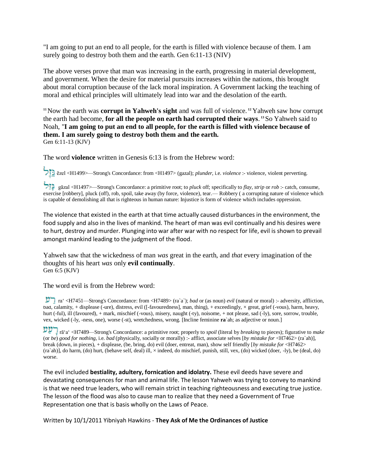"I am going to put an end to all people, for the earth is filled with violence because of them. I am surely going to destroy both them and the earth. Gen 6:11-13 (NIV)

The above verses prove that man was increasing in the earth, progressing in material development, and government. When the desire for material pursuits increases within the nations, this brought about moral corruption because of the lack moral inspiration. A Government lacking the teaching of moral and ethical principles will ultimately lead into war and the desolation of the earth.

**<sup>11</sup>**Now the earth was **corrupt in Yahweh's sight** and was full of violence. **<sup>12</sup>** Yahweh saw how corrupt the earth had become, **for all the people on earth had corrupted their ways**. **<sup>13</sup>**So Yahweh said to Noah, "**I am going to put an end to all people, for the earth is filled with violence because of them. I am surely going to destroy both them and the earth.**  Gen 6:11-13 (KJV)

The word **violence** written in Genesis 6:13 is from the Hebrew word:

gēzel <H1499>—Strong's Concordance: from <H1497> (gazal); *plunder*, i.e. *violence* :- violence, violent perverting.

 gāzal <H1497>—Strong's Concordance: a primitive root; to *pluck* off; specifically to *flay, strip* or *rob* :- catch, consume, exercise [robbery], pluck (off), rob, spoil, take away (by force, violence), tear.— Robbery ( a corrupting nature of violence which is capable of demolishing all that is righteous in human nature: Injustice is form of violence which includes oppression.

The violence that existed in the earth at that time actually caused disturbances in the environment, the food supply and also in the lives of mankind. The heart of man was evil continually and his desires were to hurt, destroy and murder. Plunging into war after war with no respect for life, evil is shown to prevail amongst mankind leading to the judgment of the flood.

Yahweh saw that the wickedness of man *was* great in the earth, and *that* every imagination of the thoughts of his heart *was* only **evil continually**. Gen 6:5 (KJV)

The word evil is from the Hebrew word:

 ra' <H7451—Strong's Concordance: from <H7489> (ra`a`); *bad* or (as noun) *evil* (natural or moral) :- adversity, affliction, bad, calamity, + displease (-ure), distress, evil ([-favouredness], man, thing), + exceedingly, × great, grief (-vous), harm, heavy, hurt (-ful), ill (favoured), + mark, mischief (-vous), misery, naught (-ty), noisome, + not please, sad (-ly), sore, sorrow, trouble, vex, wicked (-ly, -ness, one), worse (-st), wretchedness, wrong. [Incline feminine **ra**`ah; as adjective or noun.]

 rā'a' <H7489—Strong's Concordance: a primitive root; properly to *spoil* (literal by *breaking* to pieces); figurative to *make*  (or *be*) *good for nothing*, i.e. *bad* (physically, socially or morally) :- afflict, associate selves [*by mistake for* <H7462> (ra`ah)], break (down, in pieces), + displease, (be, bring, do) evil (doer, entreat, man), show self friendly [*by mistake for* <H7462> (ra`ah)], do harm, (do) hurt, (behave self, deal) ill, × indeed, do mischief, punish, still, vex, (do) wicked (doer, -ly), be (deal, do) worse.

The evil included **bestiality, adultery, fornication and idolatry.** These evil deeds have severe and devastating consequences for man and animal life. The lesson Yahweh was trying to convey to mankind is that we need true leaders, who will remain strict in teaching righteousness and executing true justice. The lesson of the flood was also to cause man to realize that they need a Government of True Representation one that is basis wholly on the Laws of Peace.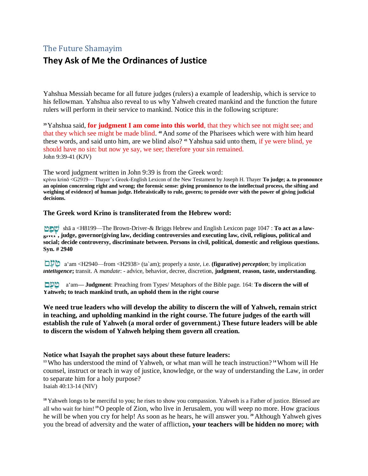## The Future Shamayim

## **They Ask of Me the Ordinances of Justice**

Yahshua Messiah became for all future judges (rulers) a example of leadership, which is service to his fellowman. Yahshua also reveal to us why Yahweh created mankind and the function the future rulers will perform in their service to mankind. Notice this in the following scripture:

**<sup>39</sup>**Yahshua said, **for judgment I am come into this world**, that they which see not might see; and that they which see might be made blind. **<sup>40</sup>**And *some* of the Pharisees which were with him heard these words, and said unto him, are we blind also? **<sup>41</sup>** Yahshua said unto them, if ye were blind, ye should have no sin: but now ye say, we see; therefore your sin remained. John 9:39-41 (KJV)

The word judgment written in John 9:39 is from the Greek word:

κρίνω krinō <G2919— Thayer's Greek-English Lexicon of the New Testament by Joseph H. Thayer **To judge; a. to pronounce an opinion concerning right and wrong; the forensic sense: giving prominence to the intellectual process, the sifting and weighing of evidence} of human judge. Hebraistically to rule, govern; to preside over with the power of giving judicial decisions.** 

#### **The Greek word Krino is transliterated from the Hebrew word:**

 shā a <H8199—The Brown-Driver-& Briggs Hebrew and English Lexicon page 1047 : **To act as a lawgiver , judge, governor(giving law, deciding controversies and executing law, civil, religious, political and social; decide controversy, discriminate between. Persons in civil, political, domestic and religious questions. Syn. # 2940** 

 a'am <H2940—from <H2938> (ta`am); properly a *taste*, i.e. **(figurative)** *perception*; by implication *intelligence***;** transit. A *mandate*: - advice, behavior, decree, discretion, **judgment**, **reason, taste, understanding**.

 a'am**— Judgment**: Preaching from Types/ Metaphors of the Bible page. 164: **To discern the will of Yahweh; to teach mankind truth, an uphold them in the right course** 

**We need true leaders who will develop the ability to discern the will of Yahweh, remain strict in teaching, and upholding mankind in the right course. The future judges of the earth will establish the rule of Yahweh (a moral order of government.) These future leaders will be able to discern the wisdom of Yahweh helping them govern all creation.** 

#### **Notice what Isayah the prophet says about these future leaders:**

**<sup>13</sup>**Who has understood the mind of Yahweh, or what man will he teach instruction? **<sup>14</sup>**Whom will He counsel, instruct or teach in way of justice, knowledge, or the way of understanding the Law, in order to separate him for a holy purpose? Isaiah 40:13-14 (NIV)

<sup>18</sup> Yahweh longs to be merciful to you; he rises to show you compassion. Yahweh is a Father of justice. Blessed are all who wait for him! **<sup>19</sup>**O people of Zion, who live in Jerusalem, you will weep no more. How gracious he will be when you cry for help! As soon as he hears, he will answer you. **<sup>20</sup>** Although Yahweh gives you the bread of adversity and the water of affliction**, your teachers will be hidden no more; with**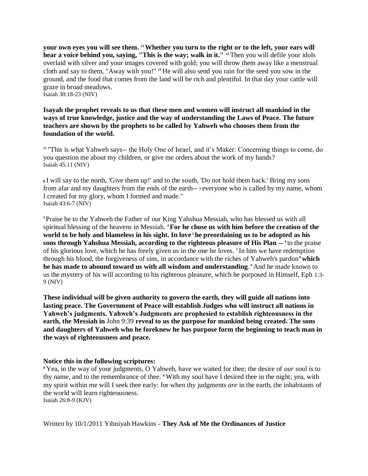**your own eyes you will see them. 21 Whether you turn to the right or to the left, your ears will hear a voice behind you, saying, "This is the way; walk in it." <sup>22</sup>** Then you will defile your idols overlaid with silver and your images covered with gold; you will throw them away like a menstrual cloth and say to them, "Away with you!" **<sup>23</sup>** He will also send you rain for the seed you sow in the ground, and the food that comes from the land will be rich and plentiful. In that day your cattle will graze in broad meadows. Isaiah 30:18-23 (NIV)

**Isayah the prophet reveals to us that these men and women will instruct all mankind in the ways of true knowledge, justice and the way of understanding the Laws of Peace. The future teachers are shown by the prophets to be called by Yahweh who chooses them from the foundation of the world.** 

**<sup>11</sup>** "This is what Yahweh says-- the Holy One of Israel, and it's Maker: Concerning things to come, do you question me about my children, or give me orders about the work of my hands? Isaiah 45:11 (NIV)

**<sup>6</sup>**I will say to the north, 'Give them up!' and to the south, 'Do not hold them back.' Bring my sons from afar and my daughters from the ends of the earth-- **<sup>7</sup>**everyone who is called by my name, whom I created for my glory, whom I formed and made." Isaiah 43:6-7 (NIV)

**<sup>3</sup>**Praise be to the Yahweh the Father of our King Yahshua Messiah, who has blessed us with all spiritual blessing of the heavens in Messiah. **<sup>4</sup> For he chose us with him before the creation of the world to be holy and blameless in his sight. In love <sup>5</sup> he preordaining us to be adopted as his sons through Yahshua Messiah, according to the righteous pleasure of His Plan -- <sup>6</sup>**to the praise of his glorious love, which he has freely given us in the one he loves. **<sup>7</sup>** In him we have redemption through his blood, the forgiveness of sins, in accordance with the riches of Yahweh's pardon<sup>8</sup> which **he has made to abound toward us with all wisdom and understanding**. **<sup>9</sup>** And he made known to us the mystery of his will according to his righteous pleasure, which he purposed in Himself, Eph 1:3- 9 (NIV)

**These individual will be given authority to govern the earth, they will guide all nations into lasting peace. The Government of Peace will establish Judges who will instruct all nations in Yahweh's judgments. Yahweh's Judgments are prophesied to establish righteousness in the earth, the Messiah in** John 9:39 **reveal to us the purpose for mankind being created. The sons and daughters of Yahweh who he foreknew he has purpose form the beginning to teach man in the ways of righteousness and peace.** 

#### **Notice this in the following scriptures:**

**<sup>8</sup>** Yea, in the way of your judgments, O Yahweh, have we waited for thee; the desire of *our* soul *is* to thy name, and to the remembrance of thee. **<sup>9</sup>** With my soul have I desired thee in the night; yea, with my spirit within me will I seek thee early: for when thy judgments *are* in the earth, the inhabitants of the world will learn righteousness.

Isaiah 26:8-9 (KJV)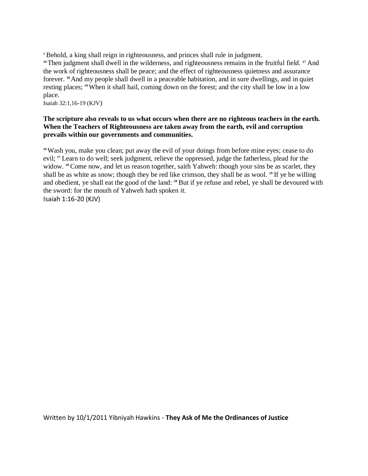**<sup>1</sup>** Behold, a king shall reign in righteousness, and princes shall rule in judgment. <sup>16</sup>Then judgment shall dwell in the wilderness, and righteousness remains in the fruitful field. <sup>17</sup> And the work of righteousness shall be peace; and the effect of righteousness quietness and assurance forever. **18** And my people shall dwell in a peaceable habitation, and in sure dwellings, and in quiet resting places; **19** When it shall hail, coming down on the forest; and the city shall be low in a low place.

Isaiah 32:1,16-19 (KJV)

#### **The scripture also reveals to us what occurs when there are no righteous teachers in the earth. When the Teachers of Righteousness are taken away from the earth, evil and corruption prevails within our governments and communities.**

<sup>16</sup>Wash you, make you clean; put away the evil of your doings from before mine eyes; cease to do evil; <sup>17</sup> Learn to do well; seek judgment, relieve the oppressed, judge the fatherless, plead for the widow. <sup>18</sup> Come now, and let us reason together, saith Yahweh: though your sins be as scarlet, they shall be as white as snow; though they be red like crimson, they shall be as wool. **<sup>19</sup>** If ye be willing and obedient, ye shall eat the good of the land: **<sup>20</sup>** But if ye refuse and rebel, ye shall be devoured with the sword: for the mouth of Yahweh hath spoken *it*.

Isaiah 1:16-20 (KJV)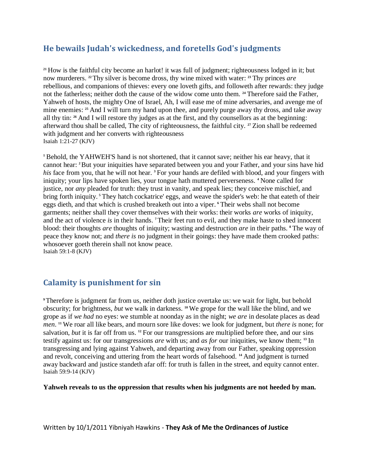## **He bewails Judah's wickedness, and foretells God's judgments**

<sup>21</sup> How is the faithful city become an harlot! it was full of judgment; righteousness lodged in it; but now murderers. **22** Thy silver is become dross, thy wine mixed with water: **<sup>23</sup>** Thy princes *are*  rebellious, and companions of thieves: every one loveth gifts, and followeth after rewards: they judge not the fatherless; neither doth the cause of the widow come unto them. **<sup>24</sup>** Therefore said the Father, Yahweh of hosts, the mighty One of Israel, Ah, I will ease me of mine adversaries, and avenge me of mine enemies: **<sup>25</sup>** And I will turn my hand upon thee, and purely purge away thy dross, and take away all thy tin: **<sup>26</sup>** And I will restore thy judges as at the first, and thy counsellors as at the beginning: afterward thou shall be called, The city of righteousness, the faithful city. **<sup>27</sup>** Zion shall be redeemed with judgment and her converts with righteousness Isaiah 1:21-27 (KJV)

**<sup>1</sup>** Behold, the YAHWEH'S hand is not shortened, that it cannot save; neither his ear heavy, that it cannot hear: **2** But your iniquities have separated between you and your Father, and your sins have hid *his* face from you, that he will not hear. **<sup>3</sup>** For your hands are defiled with blood, and your fingers with iniquity; your lips have spoken lies, your tongue hath muttered perverseness. **<sup>4</sup>** None called for justice, nor *any* pleaded for truth: they trust in vanity, and speak lies; they conceive mischief, and bring forth iniquity. **<sup>5</sup>** They hatch cockatrice' eggs, and weave the spider's web: he that eateth of their eggs dieth, and that which is crushed breaketh out into a viper. **<sup>6</sup>** Their webs shall not become garments; neither shall they cover themselves with their works: their works *are* works of iniquity, and the act of violence *is* in their hands. **7** Their feet run to evil, and they make haste to shed innocent blood: their thoughts *are* thoughts of iniquity; wasting and destruction *are* in their paths. **<sup>8</sup>** The way of peace they know not; and *there is* no judgment in their goings: they have made them crooked paths: whosoever goeth therein shall not know peace. Isaiah 59:1-8 (KJV)

## **Calamity is punishment for sin**

**<sup>9</sup>**Therefore is judgment far from us, neither doth justice overtake us: we wait for light, but behold obscurity; for brightness, *but* we walk in darkness. **<sup>10</sup>** We grope for the wall like the blind, and we grope as if *we had* no eyes: we stumble at noonday as in the night; *we are* in desolate places as dead *men*. **<sup>11</sup>** We roar all like bears, and mourn sore like doves: we look for judgment, but *there is* none; for salvation, *but* it is far off from us. <sup>12</sup> For our transgressions are multiplied before thee, and our sins testify against us: for our transgressions *are* with us; and *as for* our iniquities, we know them; **<sup>13</sup>** In transgressing and lying against Yahweh, and departing away from our Father, speaking oppression and revolt, conceiving and uttering from the heart words of falsehood. **<sup>14</sup>** And judgment is turned away backward and justice standeth afar off: for truth is fallen in the street, and equity cannot enter. Isaiah 59:9-14 (KJV)

**Yahweh reveals to us the oppression that results when his judgments are not heeded by man.**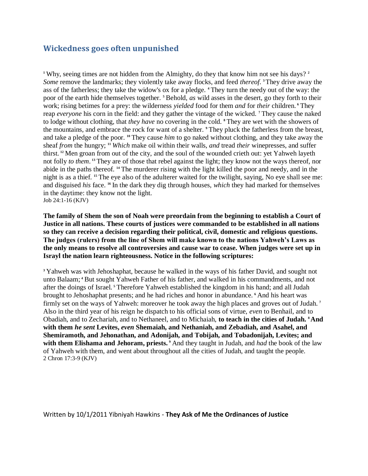## **Wickedness goes often unpunished**

**<sup>1</sup>** Why, seeing times are not hidden from the Almighty, do they that know him not see his days? **<sup>2</sup>** *Some* remove the landmarks; they violently take away flocks, and feed *thereof*. **<sup>3</sup>**They drive away the ass of the fatherless; they take the widow's ox for a pledge. **<sup>4</sup>** They turn the needy out of the way: the poor of the earth hide themselves together. **<sup>5</sup>** Behold, *as* wild asses in the desert, go they forth to their work; rising betimes for a prey: the wilderness *yielded* food for them *and* for *their* children. **<sup>6</sup>** They reap *everyone* his corn in the field: and they gather the vintage of the wicked. **<sup>7</sup>** They cause the naked to lodge without clothing, that *they have* no covering in the cold. **<sup>8</sup>** They are wet with the showers of the mountains, and embrace the rock for want of a shelter. **<sup>9</sup>** They pluck the fatherless from the breast, and take a pledge of the poor. **<sup>10</sup>** They cause *him* to go naked without clothing, and they take away the sheaf *from* the hungry; **<sup>11</sup>** *Which* make oil within their walls, *and* tread *their* winepresses, and suffer thirst. **<sup>12</sup>** Men groan from out of the city, and the soul of the wounded crieth out: yet Yahweh layeth not folly *to them*. **<sup>13</sup>** They are of those that rebel against the light; they know not the ways thereof, nor abide in the paths thereof. **<sup>14</sup>** The murderer rising with the light killed the poor and needy, and in the night is as a thief. **<sup>15</sup>** The eye also of the adulterer waited for the twilight, saying, No eye shall see me: and disguised *his* face. **<sup>16</sup>** In the dark they dig through houses, *which* they had marked for themselves in the daytime: they know not the light. Job 24:1-16 (KJV)

**The family of Shem the son of Noah were preordain from the beginning to establish a Court of Justice in all nations. These courts of justices were commanded to be established in all nations so they can receive a decision regarding their political, civil, domestic and religious questions. The judges (rulers) from the line of Shem will make known to the nations Yahweh's Laws as the only means to resolve all controversies and cause war to cease. When judges were set up in Israyl the nation learn righteousness. Notice in the following scriptures:** 

**<sup>3</sup>** Yahweh was with Jehoshaphat, because he walked in the ways of his father David, and sought not unto Balaam; **<sup>4</sup>** But sought Yahweh Father of his father, and walked in his commandments, and not after the doings of Israel. **<sup>5</sup>** Therefore Yahweh established the kingdom in his hand; and all Judah brought to Jehoshaphat presents; and he had riches and honor in abundance. **<sup>6</sup>** And his heart was firmly set on the ways of Yahweh: moreover he took away the high places and groves out of Judah. **<sup>7</sup>** Also in the third year of his reign he dispatch to his official sons of virtue, *even* to Benhail, and to Obadiah, and to Zechariah, and to Nethaneel, and to Michaiah, **to teach in the cities of Judah. 8 And with them** *he sent* **Levites,** *even* **Shemaiah, and Nethaniah, and Zebadiah, and Asahel, and Shemiramoth, and Jehonathan, and Adonijah, and Tobijah, and Tobadonijah, Levites; and with them Elishama and Jehoram, priests. <sup>9</sup>** And they taught in Judah, and *had* the book of the law of Yahweh with them, and went about throughout all the cities of Judah, and taught the people. 2 Chron 17:3-9 (KJV)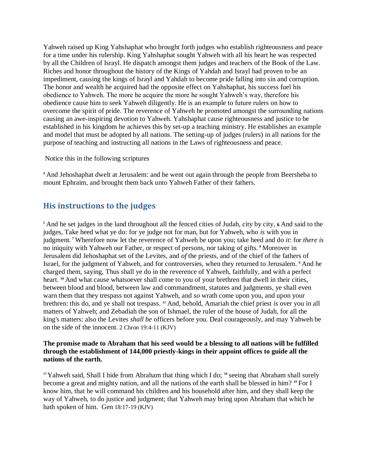Yahweh raised up King Yahshaphat who brought forth judges who establish righteousness and peace for a time under his rulership. King Yahshaphat sought Yahweh with all his heart he was respected by all the Children of Israyl. He dispatch amongst them judges and teachers of the Book of the Law. Riches and honor throughout the history of the Kings of Yahdah and Israyl had proven to be an impediment, causing the kings of Israyl and Yahdah to become pride falling into sin and corruption. The honor and wealth he acquired had the opposite effect on Yahshaphat, his success fuel his obedience to Yahweh. The more he acquire the more he sought Yahweh's way, therefore his obedience cause him to seek Yahweh diligently. He is an example to future rulers on how to overcome the spirit of pride. The reverence of Yahweh he promoted amongst the surrounding nations causing an awe-inspiring devotion to Yahweh. Yahshaphat cause righteousness and justice to be established in his kingdom he achieves this by set-up a teaching ministry. He establishes an example and model that must be adopted by all nations. The setting-up of judges (rulers) in all nations for the purpose of teaching and instructing all nations in the Laws of righteousness and peace.

Notice this in the following scriptures

**<sup>4</sup>** And Jehoshaphat dwelt at Jerusalem: and he went out again through the people from Beersheba to mount Ephraim, and brought them back unto Yahweh Father of their fathers.

## **His instructions to the judges**

**<sup>5</sup>** And he set judges in the land throughout all the fenced cities of Judah, city by city, **6** And said to the judges, Take heed what ye do: for ye judge not for man, but for Yahweh, who *is* with you in judgment. **<sup>7</sup>** Wherefore now let the reverence of Yahweh be upon you; take heed and do *it*: for *there is*  no iniquity with Yahweh our Father, or respect of persons, nor taking of gifts. **<sup>8</sup>** Moreover in Jerusalem did Jehoshaphat set of the Levites, and *of* the priests, and of the chief of the fathers of Israel, for the judgment of Yahweh, and for controversies, when they returned to Jerusalem. **<sup>9</sup>** And he charged them, saying, Thus shall ye do in the reverence of Yahweh, faithfully, and with a perfect heart. **<sup>10</sup>** And what cause whatsoever shall come to you of your brethren that dwell in their cities, between blood and blood, between law and commandment, statutes and judgments, ye shall even warn them that they trespass not against Yahweh, and *so* wrath come upon you, and upon your brethren: this do, and ye shall not trespass. **<sup>11</sup>** And, behold, Amariah the chief priest *is* over you in all matters of Yahweh; and Zebadiah the son of Ishmael, the ruler of the house of Judah, for all the king's matters: also the Levites *shall be* officers before you. Deal courageously, and may Yahweh be on the side of the innocent. 2 Chron 19:4-11 (KJV)

#### **The promise made to Abraham that his seed would be a blessing to all nations will be fulfilled through the establishment of 144,000 priestly-kings in their appoint offices to guide all the nations of the earth.**

**<sup>17</sup>**Yahweh said, Shall I hide from Abraham that thing which I do; **<sup>18</sup>** seeing that Abraham shall surely become a great and mighty nation, and all the nations of the earth shall be blessed in him? **<sup>19</sup>** For I know him, that he will command his children and his household after him, and they shall keep the way of Yahweh, to do justice and judgment; that Yahweh may bring upon Abraham that which he hath spoken of him. Gen 18:17-19 (KJV)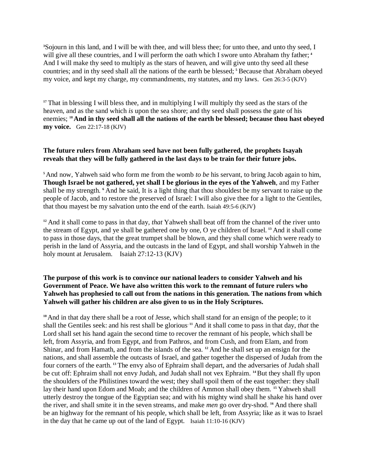**<sup>3</sup>**Sojourn in this land, and I will be with thee, and will bless thee; for unto thee, and unto thy seed, I will give all these countries, and I will perform the oath which I swore unto Abraham thy father; <sup>4</sup> And I will make thy seed to multiply as the stars of heaven, and will give unto thy seed all these countries; and in thy seed shall all the nations of the earth be blessed; **<sup>5</sup>** Because that Abraham obeyed my voice, and kept my charge, my commandments, my statutes, and my laws. Gen 26:3-5 (KJV)

<sup>17</sup> That in blessing I will bless thee, and in multiplying I will multiply thy seed as the stars of the heaven, and as the sand which *is* upon the sea shore; and thy seed shall possess the gate of his enemies; **18 And in thy seed shall all the nations of the earth be blessed; because thou hast obeyed my voice.** Gen 22:17-18 (KJV)

#### **The future rulers from Abraham seed have not been fully gathered, the prophets Isayah reveals that they will be fully gathered in the last days to be train for their future jobs.**

**<sup>5</sup>**And now, Yahweh said who form me from the womb *to be* his servant, to bring Jacob again to him, **Though Israel be not gathered, yet shall I be glorious in the eyes of the Yahweh**, and my Father shall be my strength. **<sup>6</sup>** And he said, It is a light thing that thou shouldest be my servant to raise up the people of Jacob, and to restore the preserved of Israel: I will also give thee for a light to the Gentiles, that thou mayest be my salvation unto the end of the earth. Isaiah 49:5-6 (KJV)

**<sup>12</sup>** And it shall come to pass in that day, *that* Yahweh shall beat off from the channel of the river unto the stream of Egypt, and ye shall be gathered one by one, O ye children of Israel. **<sup>13</sup>** And it shall come to pass in those days, that the great trumpet shall be blown, and they shall come which were ready to perish in the land of Assyria, and the outcasts in the land of Egypt, and shall worship Yahweh in the holy mount at Jerusalem. Isaiah 27:12-13 (KJV)

#### **The purpose of this work is to convince our national leaders to consider Yahweh and his Government of Peace. We have also written this work to the remnant of future rulers who Yahweh has prophesied to call out from the nations in this generation. The nations from which Yahweh will gather his children are also given to us in the Holy Scriptures.**

<sup>10</sup> And in that day there shall be a root of Jesse, which shall stand for an ensign of the people; to it shall the Gentiles seek: and his rest shall be glorious**. 11** And it shall come to pass in that day, *that* the Lord shall set his hand again the second time to recover the remnant of his people, which shall be left, from Assyria, and from Egypt, and from Pathros, and from Cush, and from Elam, and from Shinar, and from Hamath, and from the islands of the sea. **<sup>12</sup>** And he shall set up an ensign for the nations, and shall assemble the outcasts of Israel, and gather together the dispersed of Judah from the four corners of the earth. **<sup>13</sup>** The envy also of Ephraim shall depart, and the adversaries of Judah shall be cut off: Ephraim shall not envy Judah, and Judah shall not vex Ephraim. **14** But they shall fly upon the shoulders of the Philistines toward the west; they shall spoil them of the east together: they shall lay their hand upon Edom and Moab; and the children of Ammon shall obey them. **<sup>15</sup>** Yahweh shall utterly destroy the tongue of the Egyptian sea; and with his mighty wind shall he shake his hand over the river, and shall smite it in the seven streams, and make *men* go over dry-shod. **<sup>16</sup>** And there shall be an highway for the remnant of his people, which shall be left, from Assyria; like as it was to Israel in the day that he came up out of the land of Egypt. Isaiah 11:10-16 (KJV)